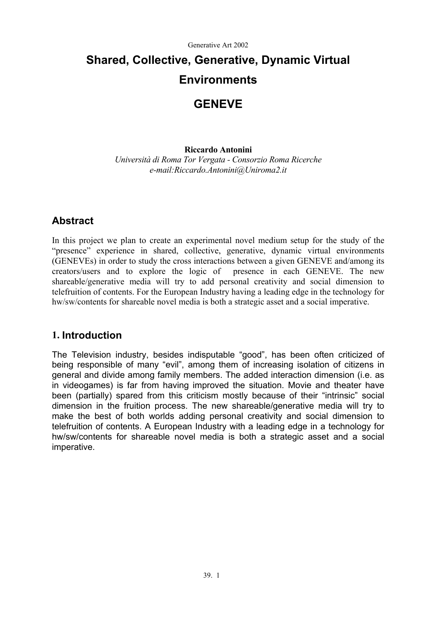# **Shared, Collective, Generative, Dynamic Virtual Environments GENEVE**

#### **Riccardo Antonini**

*Università di Roma Tor Vergata - Consorzio Roma Ricerche e-mail:Riccardo.Antonini@Uniroma2.it* 

# **Abstract**

In this project we plan to create an experimental novel medium setup for the study of the "presence" experience in shared, collective, generative, dynamic virtual environments (GENEVEs) in order to study the cross interactions between a given GENEVE and/among its creators/users and to explore the logic of presence in each GENEVE. The new shareable/generative media will try to add personal creativity and social dimension to telefruition of contents. For the European Industry having a leading edge in the technology for hw/sw/contents for shareable novel media is both a strategic asset and a social imperative.

## **1. Introduction**

The Television industry, besides indisputable "good", has been often criticized of being responsible of many "evil", among them of increasing isolation of citizens in general and divide among family members. The added interaction dimension (i.e. as in videogames) is far from having improved the situation. Movie and theater have been (partially) spared from this criticism mostly because of their "intrinsic" social dimension in the fruition process. The new shareable/generative media will try to make the best of both worlds adding personal creativity and social dimension to telefruition of contents. A European Industry with a leading edge in a technology for hw/sw/contents for shareable novel media is both a strategic asset and a social imperative.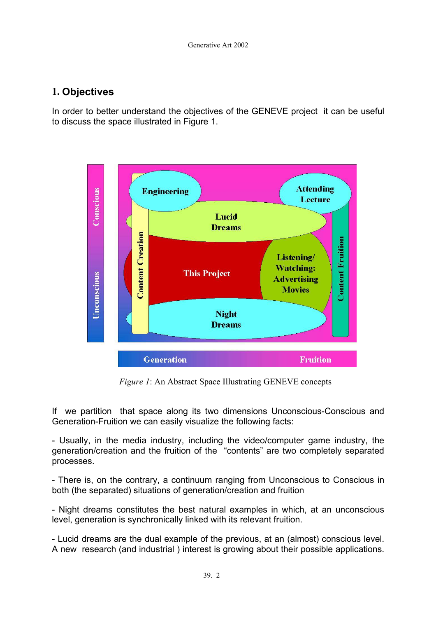# **1. Objectives**

In order to better understand the objectives of the GENEVE project it can be useful to discuss the space illustrated in Figure 1.



*Figure 1*: An Abstract Space Illustrating GENEVE concepts

If we partition that space along its two dimensions Unconscious-Conscious and Generation-Fruition we can easily visualize the following facts:

- Usually, in the media industry, including the video/computer game industry, the generation/creation and the fruition of the "contents" are two completely separated processes.

- There is, on the contrary, a continuum ranging from Unconscious to Conscious in both (the separated) situations of generation/creation and fruition

- Night dreams constitutes the best natural examples in which, at an unconscious level, generation is synchronically linked with its relevant fruition.

- Lucid dreams are the dual example of the previous, at an (almost) conscious level. A new research (and industrial ) interest is growing about their possible applications.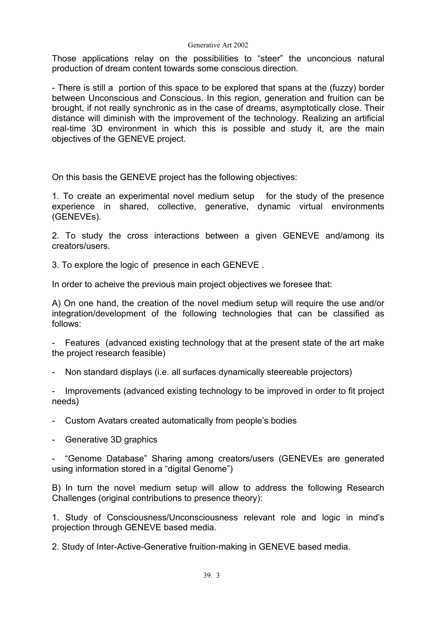#### Generative Art 2002

Those applications relay on the possibilities to "steer" the unconcious natural production of dream content towards some conscious direction.

- There is still a portion of this space to be explored that spans at the (fuzzy) border between Unconscious and Conscious. In this region, generation and fruition can be brought, if not really synchronic as in the case of dreams, asymptotically close. Their distance will diminish with the improvement of the technology. Realizing an artificial real-time 3D environment in which this is possible and study it, are the main objectives of the GENEVE project.

On this basis the GENEVE project has the following objectives:

1. To create an experimental novel medium setup for the study of the presence experience in shared, collective, generative, dynamic virtual environments (GENEVEs).

2. To study the cross interactions between a given GENEVE and/among its creators/users.

3. To explore the logic of presence in each GENEVE .

In order to acheive the previous main project objectives we foresee that:

A) On one hand, the creation of the novel medium setup will require the use and/or integration/development of the following technologies that can be classified as follows:

- Features (advanced existing technology that at the present state of the art make the project research feasible)

- Non standard displays (i.e. all surfaces dynamically steereable projectors)

Improvements (advanced existing technology to be improved in order to fit project needs)

- Custom Avatars created automatically from people's bodies

- Generative 3D graphics

- "Genome Database" Sharing among creators/users (GENEVEs are generated using information stored in a "digital Genome")

B) In turn the novel medium setup will allow to address the following Research Challenges (original contributions to presence theory):

1. Study of Consciousness/Unconsciousness relevant role and logic in mind's projection through GENEVE based media.

2. Study of Inter-Active-Generative fruition-making in GENEVE based media.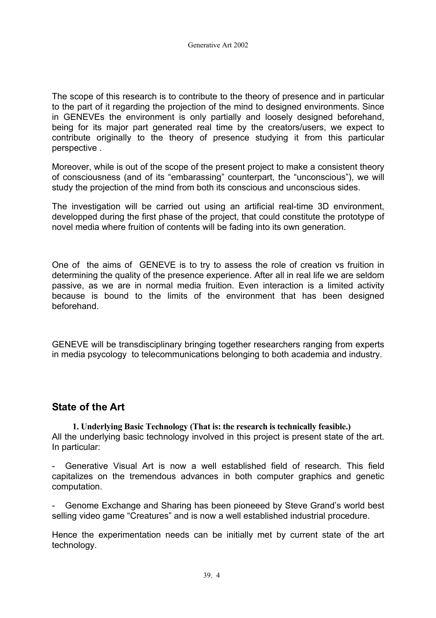The scope of this research is to contribute to the theory of presence and in particular to the part of it regarding the projection of the mind to designed environments. Since in GENEVEs the environment is only partially and loosely designed beforehand, being for its major part generated real time by the creators/users, we expect to contribute originally to the theory of presence studying it from this particular perspective .

Moreover, while is out of the scope of the present project to make a consistent theory of consciousness (and of its "embarassing" counterpart, the "unconscious"), we will study the projection of the mind from both its conscious and unconscious sides.

The investigation will be carried out using an artificial real-time 3D environment, developped during the first phase of the project, that could constitute the prototype of novel media where fruition of contents will be fading into its own generation.

One of the aims of GENEVE is to try to assess the role of creation vs fruition in determining the quality of the presence experience. After all in real life we are seldom passive, as we are in normal media fruition. Even interaction is a limited activity because is bound to the limits of the environment that has been designed beforehand.

GENEVE will be transdisciplinary bringing together researchers ranging from experts in media psycology to telecommunications belonging to both academia and industry.

## **State of the Art**

**1. Underlying Basic Technology (That is: the research is technically feasible.)**  All the underlying basic technology involved in this project is present state of the art. In particular:

Generative Visual Art is now a well established field of research. This field capitalizes on the tremendous advances in both computer graphics and genetic computation.

Genome Exchange and Sharing has been pioneeed by Steve Grand's world best selling video game "Creatures" and is now a well established industrial procedure.

Hence the experimentation needs can be initially met by current state of the art technology.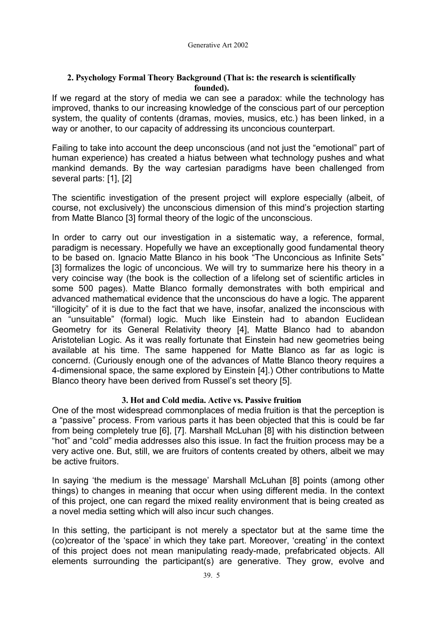#### **2. Psychology Formal Theory Background (That is: the research is scientifically founded).**

If we regard at the story of media we can see a paradox: while the technology has improved, thanks to our increasing knowledge of the conscious part of our perception system, the quality of contents (dramas, movies, musics, etc.) has been linked, in a way or another, to our capacity of addressing its unconcious counterpart.

Failing to take into account the deep unconscious (and not just the "emotional" part of human experience) has created a hiatus between what technology pushes and what mankind demands. By the way cartesian paradigms have been challenged from several parts: [1], [2]

The scientific investigation of the present project will explore especially (albeit, of course, not exclusively) the unconscious dimension of this mind's projection starting from Matte Blanco [3] formal theory of the logic of the unconscious.

In order to carry out our investigation in a sistematic way, a reference, formal, paradigm is necessary. Hopefully we have an exceptionally good fundamental theory to be based on. Ignacio Matte Blanco in his book "The Unconcious as Infinite Sets" [3] formalizes the logic of unconcious. We will try to summarize here his theory in a very coincise way (the book is the collection of a lifelong set of scientific articles in some 500 pages). Matte Blanco formally demonstrates with both empirical and advanced mathematical evidence that the unconscious do have a logic. The apparent "illogicity" of it is due to the fact that we have, insofar, analized the inconscious with an "unsuitable" (formal) logic. Much like Einstein had to abandon Euclidean Geometry for its General Relativity theory [4], Matte Blanco had to abandon Aristotelian Logic. As it was really fortunate that Einstein had new geometries being available at his time. The same happened for Matte Blanco as far as logic is concernd. (Curiously enough one of the advances of Matte Blanco theory requires a 4-dimensional space, the same explored by Einstein [4].) Other contributions to Matte Blanco theory have been derived from Russel's set theory [5].

#### **3. Hot and Cold media. Active vs. Passive fruition**

One of the most widespread commonplaces of media fruition is that the perception is a "passive" process. From various parts it has been objected that this is could be far from being completely true [6], [7]. Marshall McLuhan [8] with his distinction between "hot" and "cold" media addresses also this issue. In fact the fruition process may be a very active one. But, still, we are fruitors of contents created by others, albeit we may be active fruitors.

In saying 'the medium is the message' Marshall McLuhan [8] points (among other things) to changes in meaning that occur when using different media. In the context of this project, one can regard the mixed reality environment that is being created as a novel media setting which will also incur such changes.

In this setting, the participant is not merely a spectator but at the same time the (co)creator of the 'space' in which they take part. Moreover, 'creating' in the context of this project does not mean manipulating ready-made, prefabricated objects. All elements surrounding the participant(s) are generative. They grow, evolve and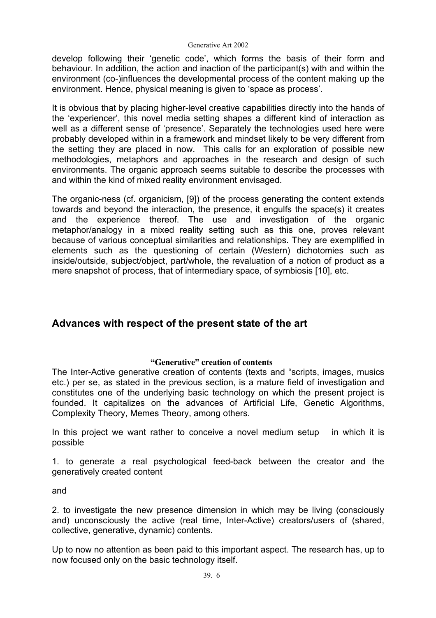#### Generative Art 2002

develop following their 'genetic code', which forms the basis of their form and behaviour. In addition, the action and inaction of the participant(s) with and within the environment (co-)influences the developmental process of the content making up the environment. Hence, physical meaning is given to 'space as process'.

It is obvious that by placing higher-level creative capabilities directly into the hands of the 'experiencer', this novel media setting shapes a different kind of interaction as well as a different sense of 'presence'. Separately the technologies used here were probably developed within in a framework and mindset likely to be very different from the setting they are placed in now. This calls for an exploration of possible new methodologies, metaphors and approaches in the research and design of such environments. The organic approach seems suitable to describe the processes with and within the kind of mixed reality environment envisaged.

The organic-ness (cf. organicism, [9]) of the process generating the content extends towards and beyond the interaction, the presence, it engulfs the space(s) it creates and the experience thereof. The use and investigation of the organic metaphor/analogy in a mixed reality setting such as this one, proves relevant because of various conceptual similarities and relationships. They are exemplified in elements such as the questioning of certain (Western) dichotomies such as inside/outside, subject/object, part/whole, the revaluation of a notion of product as a mere snapshot of process, that of intermediary space, of symbiosis [10], etc.

# **Advances with respect of the present state of the art**

#### **"Generative" creation of contents**

The Inter-Active generative creation of contents (texts and "scripts, images, musics etc.) per se, as stated in the previous section, is a mature field of investigation and constitutes one of the underlying basic technology on which the present project is founded. It capitalizes on the advances of Artificial Life, Genetic Algorithms, Complexity Theory, Memes Theory, among others.

In this project we want rather to conceive a novel medium setup in which it is possible

1. to generate a real psychological feed-back between the creator and the generatively created content

and

2. to investigate the new presence dimension in which may be living (consciously and) unconsciously the active (real time, Inter-Active) creators/users of (shared, collective, generative, dynamic) contents.

Up to now no attention as been paid to this important aspect. The research has, up to now focused only on the basic technology itself.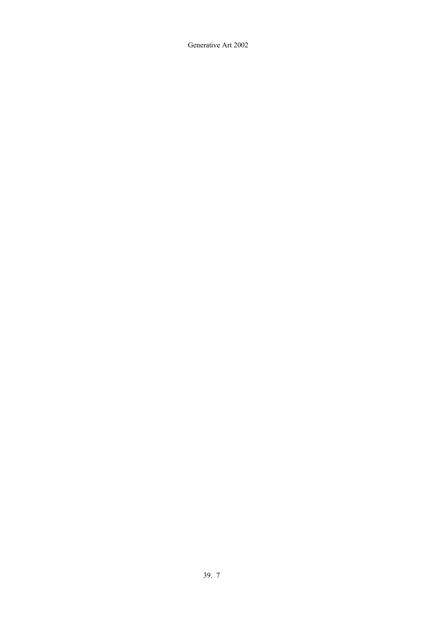Generative Art 2002